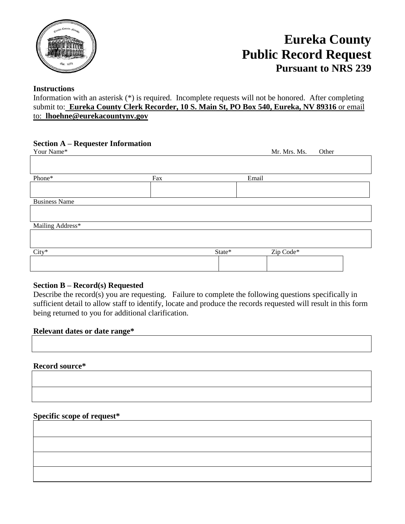

# **Eureka County Public Record Request Pursuant to NRS 239**

# **Instructions**

Information with an asterisk (\*) is required. Incomplete requests will not be honored. After completing submit to: **Eureka County Clerk Recorder, 10 S. Main St, PO Box 540, Eureka, NV 89316** or email to: **lhoehne@eurekacountynv.gov**

# **Section A – Requester Information**

| Your Name*           |     |        | Mr. Mrs. Ms. | Other |
|----------------------|-----|--------|--------------|-------|
|                      |     |        |              |       |
| Phone*               | Fax |        | Email        |       |
|                      |     |        |              |       |
|                      |     |        |              |       |
| <b>Business Name</b> |     |        |              |       |
|                      |     |        |              |       |
| Mailing Address*     |     |        |              |       |
|                      |     |        |              |       |
|                      |     |        |              |       |
| $City*$              |     | State* | Zip Code*    |       |
|                      |     |        |              |       |

# **Section B – Record(s) Requested**

Describe the record(s) you are requesting. Failure to complete the following questions specifically in sufficient detail to allow staff to identify, locate and produce the records requested will result in this form being returned to you for additional clarification.

#### **Relevant dates or date range\***

#### **Record source\***

# **Specific scope of request\***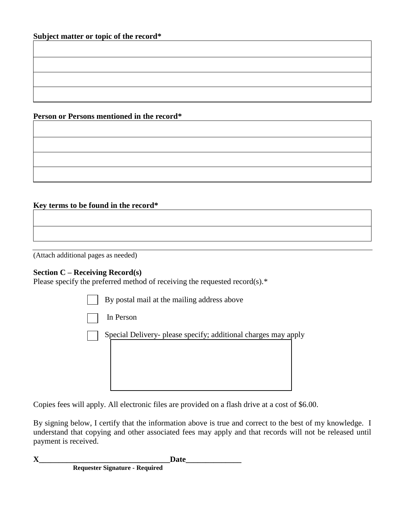**Person or Persons mentioned in the record\***

# **Key terms to be found in the record\***

(Attach additional pages as needed)

#### **Section C – Receiving Record(s)**

Please specify the preferred method of receiving the requested record(s).\*

| By postal mail at the mailing address above                    |  |
|----------------------------------------------------------------|--|
| In Person                                                      |  |
| Special Delivery- please specify; additional charges may apply |  |

Copies fees will apply. All electronic files are provided on a flash drive at a cost of \$6.00.

By signing below, I certify that the information above is true and correct to the best of my knowledge. I understand that copying and other associated fees may apply and that records will not be released until payment is received.

**X** Date

 **Requester Signature - Required**